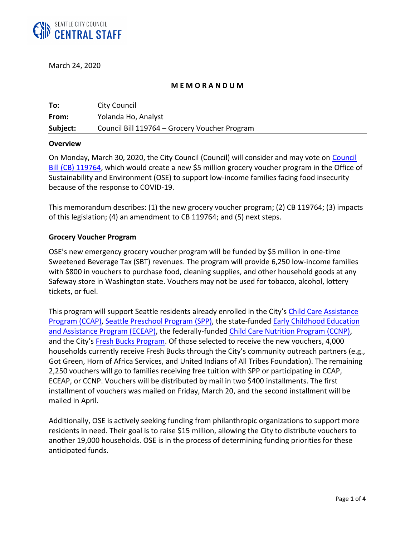

March 24, 2020

#### **M E M O R A N D U M**

| To:      | <b>City Council</b>                           |
|----------|-----------------------------------------------|
| From:    | Yolanda Ho, Analyst                           |
| Subject: | Council Bill 119764 - Grocery Voucher Program |

#### **Overview**

On Monday, March 30, 2020, the City Council (Council) will consider and may vote on [Council](http://seattle.legistar.com/gateway.aspx?m=l&id=/matter.aspx?key=10102)  [Bill \(CB\) 119764,](http://seattle.legistar.com/gateway.aspx?m=l&id=/matter.aspx?key=10102) which would create a new \$5 million grocery voucher program in the Office of Sustainability and Environment (OSE) to support low-income families facing food insecurity because of the response to COVID-19.

This memorandum describes: (1) the new grocery voucher program; (2) CB 119764; (3) impacts of this legislation; (4) an amendment to CB 119764; and (5) next steps.

#### **Grocery Voucher Program**

OSE's new emergency grocery voucher program will be funded by \$5 million in one-time Sweetened Beverage Tax (SBT) revenues. The program will provide 6,250 low-income families with \$800 in vouchers to purchase food, cleaning supplies, and other household goods at any Safeway store in Washington state. Vouchers may not be used for tobacco, alcohol, lottery tickets, or fuel.

This program will support Seattle residents already enrolled in the City's Child Care Assistance [Program](https://www.seattle.gov/education/for-parents/child-care-and-preschool/child-care-assistance-program) (CCAP), [Seattle Preschool Program](https://www.seattle.gov/education/for-parents/child-care-and-preschool/seattle-preschool-program) (SPP), the state-funded [Early Childhood Education](https://www.seattle.gov/education/for-parents/child-care-and-preschool/early-childhood-education-and-assistance-program)  [and Assistance Program \(ECEAP\),](https://www.seattle.gov/education/for-parents/child-care-and-preschool/early-childhood-education-and-assistance-program) the federally-funded [Child Care Nutrition Program \(CCNP\),](https://www.fns.usda.gov/cacfp/child-and-adult-care-food-program) and the City's [Fresh Bucks Program.](https://www.freshbuckseattle.org/) Of those selected to receive the new vouchers, 4,000 households currently receive Fresh Bucks through the City's community outreach partners (e.g., Got Green, Horn of Africa Services, and United Indians of All Tribes Foundation). The remaining 2,250 vouchers will go to families receiving free tuition with SPP or participating in CCAP, ECEAP, or CCNP. Vouchers will be distributed by mail in two \$400 installments. The first installment of vouchers was mailed on Friday, March 20, and the second installment will be mailed in April.

Additionally, OSE is actively seeking funding from philanthropic organizations to support more residents in need. Their goal is to raise \$15 million, allowing the City to distribute vouchers to another 19,000 households. OSE is in the process of determining funding priorities for these anticipated funds.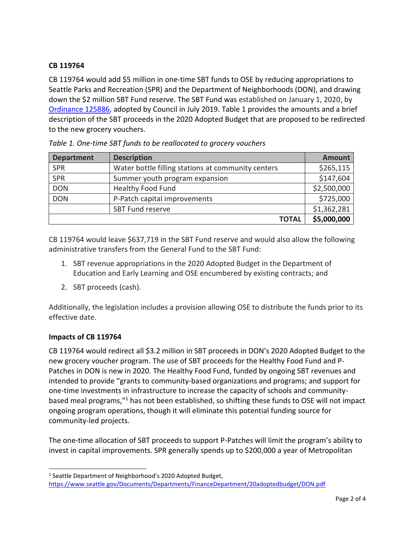# **CB 119764**

CB 119764 would add \$5 million in one-time SBT funds to OSE by reducing appropriations to Seattle Parks and Recreation (SPR) and the Department of Neighborhoods (DON), and drawing down the \$2 million SBT Fund reserve. The SBT Fund was established on January 1, 2020, by [Ordinance 125886,](http://seattle.legistar.com/LegislationDetail.aspx?ID=3993848&GUID=054ABB13-C86A-4B70-850B-652BA3907B41&Options=Advanced&Search=) adopted by Council in July 2019. Table 1 provides the amounts and a brief description of the SBT proceeds in the 2020 Adopted Budget that are proposed to be redirected to the new grocery vouchers.

| <b>Department</b> | <b>Description</b>                                 | <b>Amount</b> |
|-------------------|----------------------------------------------------|---------------|
| <b>SPR</b>        | Water bottle filling stations at community centers | \$265,115     |
| <b>SPR</b>        | Summer youth program expansion                     | \$147,604     |
| <b>DON</b>        | <b>Healthy Food Fund</b>                           | \$2,500,000   |
| <b>DON</b>        | P-Patch capital improvements                       | \$725,000     |
|                   | SBT Fund reserve                                   | \$1,362,281   |
|                   | <b>TOTAL</b>                                       | \$5,000,000   |

| Table 1. One-time SBT funds to be reallocated to grocery vouchers |  |
|-------------------------------------------------------------------|--|
|-------------------------------------------------------------------|--|

CB 119764 would leave \$637,719 in the SBT Fund reserve and would also allow the following administrative transfers from the General Fund to the SBT Fund:

- 1. SBT revenue appropriations in the 2020 Adopted Budget in the Department of Education and Early Learning and OSE encumbered by existing contracts; and
- 2. SBT proceeds (cash).

Additionally, the legislation includes a provision allowing OSE to distribute the funds prior to its effective date.

## **Impacts of CB 119764**

 $\overline{a}$ 

CB 119764 would redirect all \$3.2 million in SBT proceeds in DON's 2020 Adopted Budget to the new grocery voucher program. The use of SBT proceeds for the Healthy Food Fund and P-Patches in DON is new in 2020. The Healthy Food Fund, funded by ongoing SBT revenues and intended to provide "grants to community-based organizations and programs; and support for one-time investments in infrastructure to increase the capacity of schools and communitybased meal programs,"<sup>1</sup> has not been established, so shifting these funds to OSE will not impact ongoing program operations, though it will eliminate this potential funding source for community-led projects.

The one-time allocation of SBT proceeds to support P-Patches will limit the program's ability to invest in capital improvements. SPR generally spends up to \$200,000 a year of Metropolitan

<sup>&</sup>lt;sup>1</sup> Seattle Department of Neighborhood's 2020 Adopted Budget, <https://www.seattle.gov/Documents/Departments/FinanceDepartment/20adoptedbudget/DON.pdf>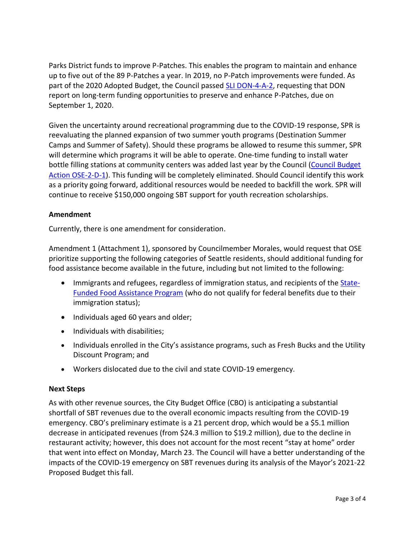Parks District funds to improve P-Patches. This enables the program to maintain and enhance up to five out of the 89 P-Patches a year. In 2019, no P-Patch improvements were funded. As part of the 2020 Adopted Budget, the Council passed [SLI DON-4-A-2,](http://clerk.seattle.gov/budgetdocs/2020/slis%20as%20adopted%20via%20resolution/don-4-a-2.pdf) requesting that DON report on long-term funding opportunities to preserve and enhance P-Patches, due on September 1, 2020.

Given the uncertainty around recreational programming due to the COVID-19 response, SPR is reevaluating the planned expansion of two summer youth programs (Destination Summer Camps and Summer of Safety). Should these programs be allowed to resume this summer, SPR will determine which programs it will be able to operate. One-time funding to install water bottle filling stations at community centers was added last year by the Council [\(Council Budget](http://clerk.seattle.gov/budgetdocs/2020/council%20budget%20actions%20for%20the%202020%20budget/ose-2-d-1.pdf)  [Action OSE-2-D-1\)](http://clerk.seattle.gov/budgetdocs/2020/council%20budget%20actions%20for%20the%202020%20budget/ose-2-d-1.pdf). This funding will be completely eliminated. Should Council identify this work as a priority going forward, additional resources would be needed to backfill the work. SPR will continue to receive \$150,000 ongoing SBT support for youth recreation scholarships.

### **Amendment**

Currently, there is one amendment for consideration.

Amendment 1 (Attachment 1), sponsored by Councilmember Morales, would request that OSE prioritize supporting the following categories of Seattle residents, should additional funding for food assistance become available in the future, including but not limited to the following:

- Immigrants and refugees, regardless of immigration status, and recipients of the [State-](https://www.dshs.wa.gov/esa/basic-food-program/state-funded-food-assistance-program-fap)[Funded Food Assistance Program](https://www.dshs.wa.gov/esa/basic-food-program/state-funded-food-assistance-program-fap) (who do not qualify for federal benefits due to their immigration status);
- Individuals aged 60 years and older;
- Individuals with disabilities;
- Individuals enrolled in the City's assistance programs, such as Fresh Bucks and the Utility Discount Program; and
- Workers dislocated due to the civil and state COVID-19 emergency.

#### **Next Steps**

As with other revenue sources, the City Budget Office (CBO) is anticipating a substantial shortfall of SBT revenues due to the overall economic impacts resulting from the COVID-19 emergency. CBO's preliminary estimate is a 21 percent drop, which would be a \$5.1 million decrease in anticipated revenues (from \$24.3 million to \$19.2 million), due to the decline in restaurant activity; however, this does not account for the most recent "stay at home" order that went into effect on Monday, March 23. The Council will have a better understanding of the impacts of the COVID-19 emergency on SBT revenues during its analysis of the Mayor's 2021-22 Proposed Budget this fall.